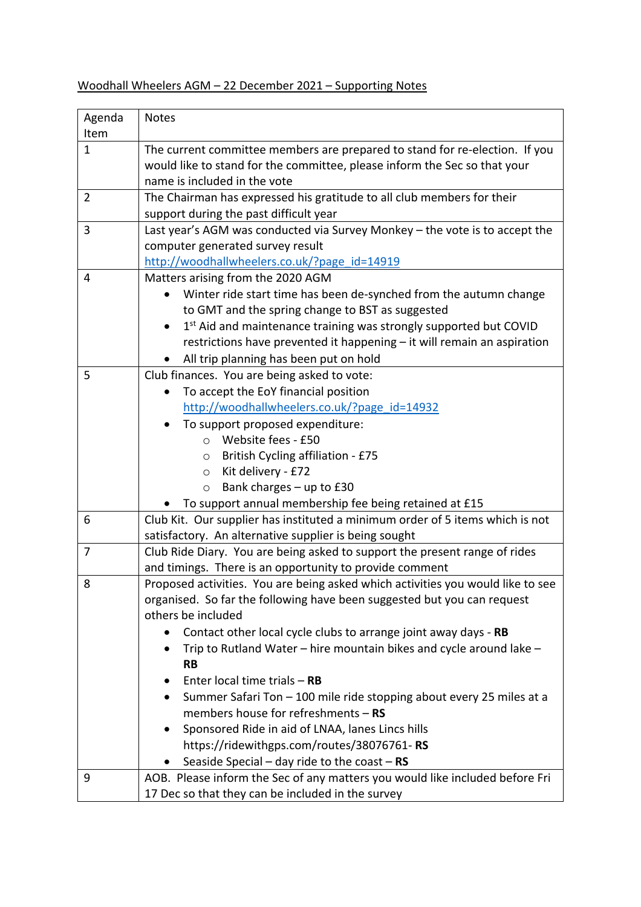## Woodhall Wheelers AGM – 22 December 2021 – Supporting Notes

| Agenda         | <b>Notes</b>                                                                    |
|----------------|---------------------------------------------------------------------------------|
| Item           |                                                                                 |
| $\mathbf{1}$   | The current committee members are prepared to stand for re-election. If you     |
|                | would like to stand for the committee, please inform the Sec so that your       |
|                | name is included in the vote                                                    |
| $\overline{2}$ | The Chairman has expressed his gratitude to all club members for their          |
|                | support during the past difficult year                                          |
| 3              | Last year's AGM was conducted via Survey Monkey - the vote is to accept the     |
|                | computer generated survey result                                                |
|                | http://woodhallwheelers.co.uk/?page id=14919                                    |
| 4              | Matters arising from the 2020 AGM                                               |
|                | Winter ride start time has been de-synched from the autumn change               |
|                | to GMT and the spring change to BST as suggested                                |
|                | 1st Aid and maintenance training was strongly supported but COVID<br>$\bullet$  |
|                | restrictions have prevented it happening - it will remain an aspiration         |
|                | All trip planning has been put on hold                                          |
| 5              | Club finances. You are being asked to vote:                                     |
|                | To accept the EoY financial position                                            |
|                | http://woodhallwheelers.co.uk/?page id=14932                                    |
|                | To support proposed expenditure:                                                |
|                | Website fees - £50<br>$\circ$                                                   |
|                | <b>British Cycling affiliation - £75</b><br>$\circ$                             |
|                | Kit delivery - £72<br>$\circ$                                                   |
|                | Bank charges $-$ up to £30<br>$\circ$                                           |
|                | To support annual membership fee being retained at £15                          |
| 6              | Club Kit. Our supplier has instituted a minimum order of 5 items which is not   |
|                | satisfactory. An alternative supplier is being sought                           |
| $\overline{7}$ | Club Ride Diary. You are being asked to support the present range of rides      |
|                | and timings. There is an opportunity to provide comment                         |
| 8              | Proposed activities. You are being asked which activities you would like to see |
|                | organised. So far the following have been suggested but you can request         |
|                | others be included                                                              |
|                | Contact other local cycle clubs to arrange joint away days - RB                 |
|                | Trip to Rutland Water - hire mountain bikes and cycle around lake -             |
|                | <b>RB</b>                                                                       |
|                | Enter local time trials $-$ RB                                                  |
|                | Summer Safari Ton - 100 mile ride stopping about every 25 miles at a            |
|                | members house for refreshments $-$ RS                                           |
|                | Sponsored Ride in aid of LNAA, lanes Lincs hills                                |
|                | https://ridewithgps.com/routes/38076761-RS                                      |
|                | Seaside Special – day ride to the coast – $RS$                                  |
| 9              | AOB. Please inform the Sec of any matters you would like included before Fri    |
|                | 17 Dec so that they can be included in the survey                               |